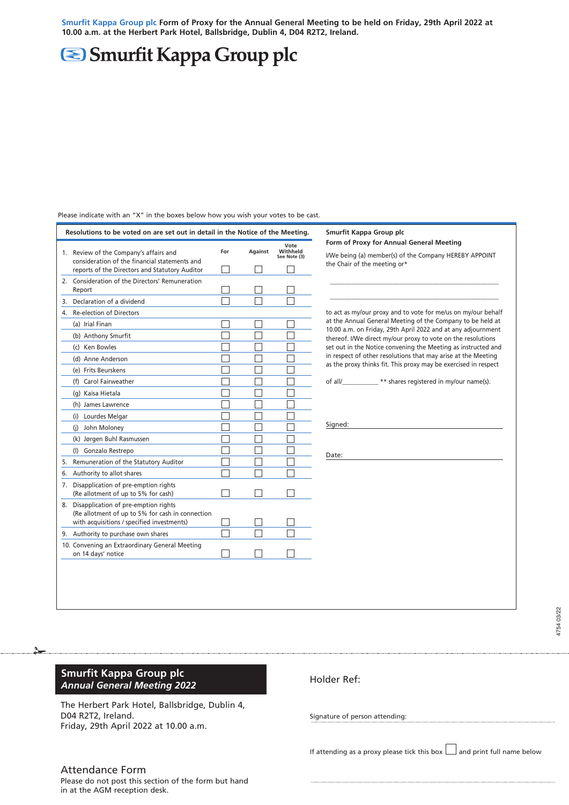Smurfit Kappa Group plc Form of Proxy for the Annual General Meeting to be held on Friday, 29th April 2022 at **10.00 a.m. at the Herbert Park Hotel, Ballsbridge, Dublin 4, D04 R2T2, Ireland.**

## Smurfit Kappa Group plc

|    | Resolutions to be voted on are set out in detail in the Notice of the Meeting.                                                         |                          |         |                                  | Smurfit Kappa Group plc                                                                                                                                                                           |
|----|----------------------------------------------------------------------------------------------------------------------------------------|--------------------------|---------|----------------------------------|---------------------------------------------------------------------------------------------------------------------------------------------------------------------------------------------------|
|    | 1. Review of the Company's affairs and<br>consideration of the financial statements and                                                | For                      | Against | Vote<br>Withheld<br>See Note (3) | Form of Proxy for Annual General Meeting<br>I/We being (a) member(s) of the Company HEREBY APPOINT                                                                                                |
|    | reports of the Directors and Statutory Auditor                                                                                         |                          |         |                                  | the Chair of the meeting or*                                                                                                                                                                      |
|    | 2. Consideration of the Directors' Remuneration<br>Report                                                                              |                          |         |                                  |                                                                                                                                                                                                   |
| 3. | Declaration of a dividend                                                                                                              |                          |         |                                  |                                                                                                                                                                                                   |
| 4. | Re-election of Directors                                                                                                               |                          |         |                                  | to act as my/our proxy and to vote for me/us on my/our behalf<br>at the Annual General Meeting of the Company to be held at                                                                       |
|    | (a) Irial Finan                                                                                                                        |                          | L       |                                  |                                                                                                                                                                                                   |
|    | (b) Anthony Smurfit                                                                                                                    | L                        | Г       |                                  | 10.00 a.m. on Friday, 29th April 2022 and at any adjournment<br>thereof. I/We direct my/our proxy to vote on the resolutions                                                                      |
|    | (c) Ken Bowles                                                                                                                         |                          | L       |                                  | set out in the Notice convening the Meeting as instructed and<br>in respect of other resolutions that may arise at the Meeting<br>as the proxy thinks fit. This proxy may be exercised in respect |
|    | (d) Anne Anderson                                                                                                                      |                          |         |                                  |                                                                                                                                                                                                   |
|    | (e) Frits Beurskens                                                                                                                    | L                        | L       |                                  |                                                                                                                                                                                                   |
|    | (f) Carol Fairweather                                                                                                                  |                          |         |                                  | of all/____________** shares registered in my/our name(s).<br>Signed:                                                                                                                             |
|    | (g) Kaisa Hietala                                                                                                                      |                          | L       |                                  |                                                                                                                                                                                                   |
|    | (h) James Lawrence                                                                                                                     | L                        | L       |                                  |                                                                                                                                                                                                   |
|    | (i) Lourdes Melgar                                                                                                                     | ┌                        | Г       |                                  |                                                                                                                                                                                                   |
|    | (j) John Moloney                                                                                                                       | Г                        | Г       |                                  |                                                                                                                                                                                                   |
|    | (k) Jørgen Buhl Rasmussen                                                                                                              | L                        |         |                                  |                                                                                                                                                                                                   |
|    | (I) Gonzalo Restrepo                                                                                                                   |                          |         |                                  | Date:                                                                                                                                                                                             |
| 5. | Remuneration of the Statutory Auditor                                                                                                  |                          |         |                                  |                                                                                                                                                                                                   |
| 6. | Authority to allot shares                                                                                                              |                          |         |                                  |                                                                                                                                                                                                   |
| 7. | Disapplication of pre-emption rights<br>(Re allotment of up to 5% for cash)                                                            |                          |         |                                  |                                                                                                                                                                                                   |
| 8. | Disapplication of pre-emption rights<br>(Re allotment of up to 5% for cash in connection<br>with acquisitions / specified investments) | $\overline{\phantom{a}}$ | П       |                                  |                                                                                                                                                                                                   |
|    | 9. Authority to purchase own shares                                                                                                    | П                        |         |                                  |                                                                                                                                                                                                   |
|    | 10. Convening an Extraordinary General Meeting<br>on 14 days' notice                                                                   | $\vert \ \ \vert$        |         |                                  |                                                                                                                                                                                                   |

Please indicate with an "X" in the boxes below how you wish your votes to be cast.

## **Smurfit Kappa Group plc** *Annual General Meeting 2022*

The Herbert Park Hotel, Ballsbridge, Dublin 4, D04 R2T2, Ireland. Friday, 29th April 2022 at 10.00 a.m.

## Attendance Form

Please do not post this section of the form but hand in at the AGM reception desk.

Holder Ref:

Signature of person attending:

If attending as a proxy please tick this box  $\Box$  and print full name below